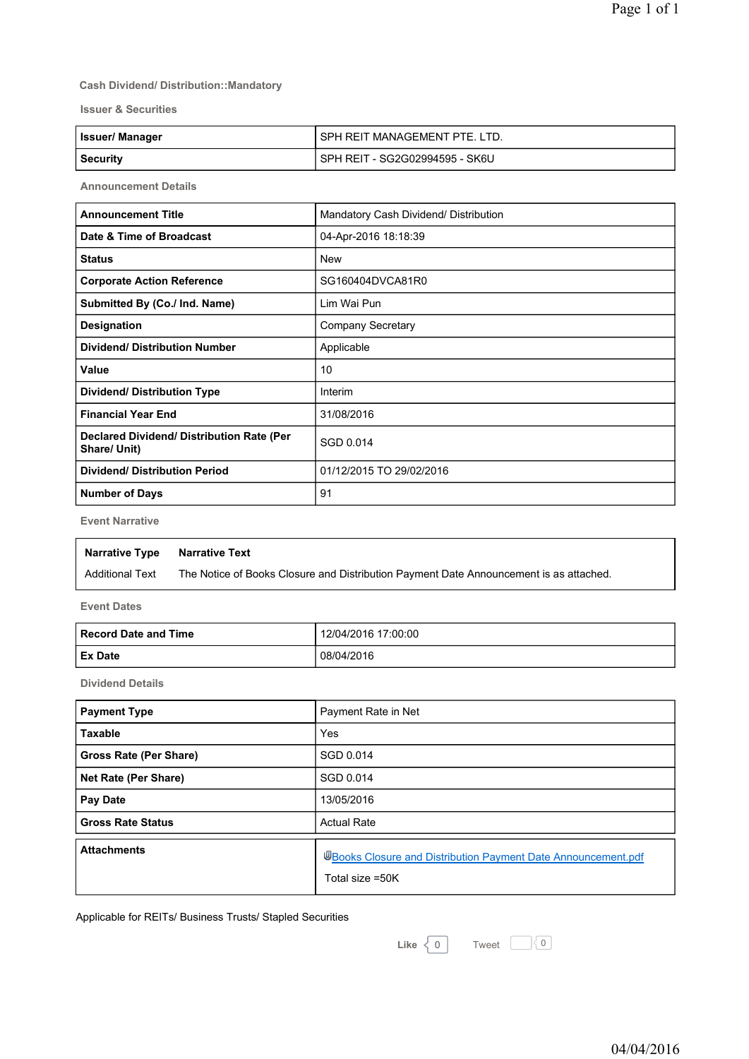#### **Cash Dividend/ Distribution::Mandatory**

**Issuer & Securities**

| <b>Issuer/Manager</b> | ' SPH REIT MANAGEMENT PTE. LTD.  |
|-----------------------|----------------------------------|
| Security              | l SPH REIT - SG2G02994595 - SK6U |

**Announcement Details**

| <b>Announcement Title</b>                                 | Mandatory Cash Dividend/ Distribution |
|-----------------------------------------------------------|---------------------------------------|
| Date & Time of Broadcast                                  | 04-Apr-2016 18:18:39                  |
| <b>Status</b>                                             | <b>New</b>                            |
| <b>Corporate Action Reference</b>                         | SG160404DVCA81R0                      |
| Submitted By (Co./ Ind. Name)                             | Lim Wai Pun                           |
| Designation                                               | <b>Company Secretary</b>              |
| <b>Dividend/ Distribution Number</b>                      | Applicable                            |
| Value                                                     | 10                                    |
| <b>Dividend/ Distribution Type</b>                        | Interim                               |
| <b>Financial Year End</b>                                 | 31/08/2016                            |
| Declared Dividend/ Distribution Rate (Per<br>Share/ Unit) | SGD 0.014                             |
| <b>Dividend/ Distribution Period</b>                      | 01/12/2015 TO 29/02/2016              |
| <b>Number of Days</b>                                     | 91                                    |

**Event Narrative**

| Narrative Type         | Narrative Text                                                                         |
|------------------------|----------------------------------------------------------------------------------------|
| <b>Additional Text</b> | The Notice of Books Closure and Distribution Payment Date Announcement is as attached. |

**Event Dates**

| Record Date and Time | 12/04/2016 17:00:00 |
|----------------------|---------------------|
| <b>Ex Date</b>       | 08/04/2016          |

**Dividend Details**

| <b>Payment Type</b>           | Payment Rate in Net                                                              |
|-------------------------------|----------------------------------------------------------------------------------|
| <b>Taxable</b>                | Yes                                                                              |
| <b>Gross Rate (Per Share)</b> | SGD 0.014                                                                        |
| Net Rate (Per Share)          | SGD 0.014                                                                        |
| Pay Date                      | 13/05/2016                                                                       |
| <b>Gross Rate Status</b>      | <b>Actual Rate</b>                                                               |
| <b>Attachments</b>            | UBooks Closure and Distribution Payment Date Announcement.pdf<br>Total size =50K |

Applicable for REITs/ Business Trusts/ Stapled Securities

**Like**  $\langle 0 |$  Tweet  $\Box 0$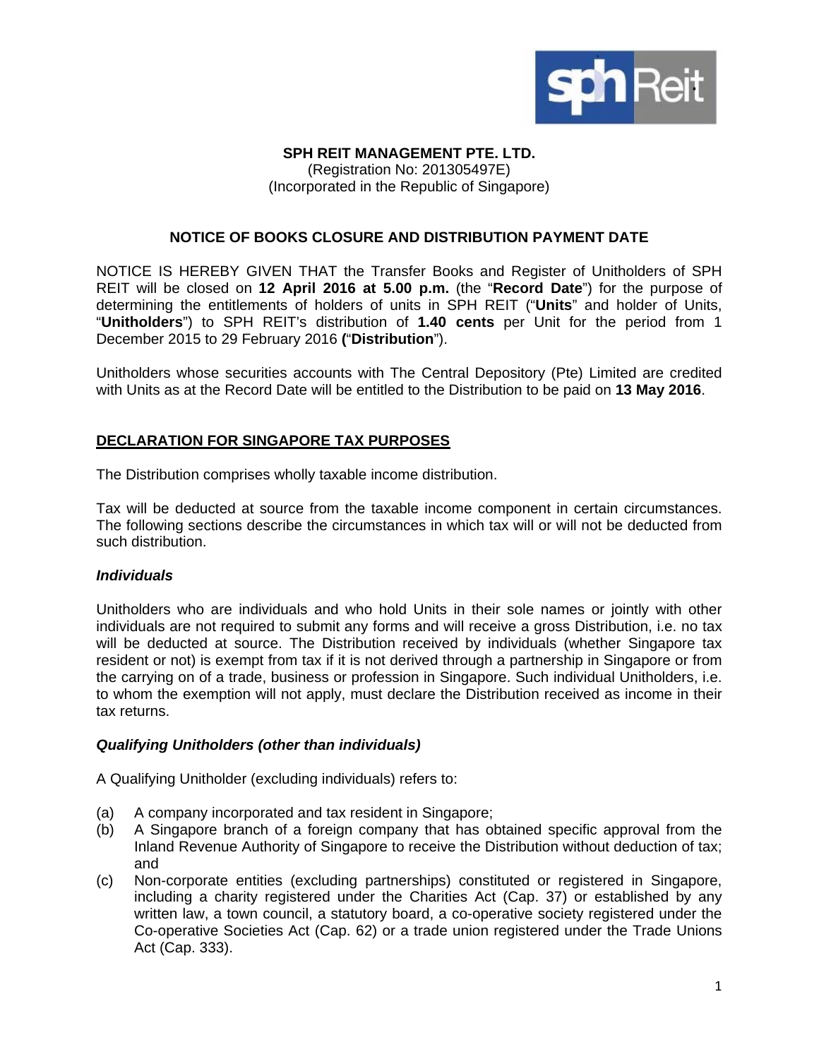

# **SPH REIT MANAGEMENT PTE. LTD.**

(Registration No: 201305497E) (Incorporated in the Republic of Singapore)

### **NOTICE OF BOOKS CLOSURE AND DISTRIBUTION PAYMENT DATE**

NOTICE IS HEREBY GIVEN THAT the Transfer Books and Register of Unitholders of SPH REIT will be closed on **12 April 2016 at 5.00 p.m.** (the "**Record Date**") for the purpose of determining the entitlements of holders of units in SPH REIT ("**Units**" and holder of Units, "**Unitholders**") to SPH REIT's distribution of **1.40 cents** per Unit for the period from 1 December 2015 to 29 February 2016 **(**"**Distribution**").

Unitholders whose securities accounts with The Central Depository (Pte) Limited are credited with Units as at the Record Date will be entitled to the Distribution to be paid on **13 May 2016**.

# **DECLARATION FOR SINGAPORE TAX PURPOSES**

The Distribution comprises wholly taxable income distribution.

Tax will be deducted at source from the taxable income component in certain circumstances. The following sections describe the circumstances in which tax will or will not be deducted from such distribution.

### *Individuals*

Unitholders who are individuals and who hold Units in their sole names or jointly with other individuals are not required to submit any forms and will receive a gross Distribution, i.e. no tax will be deducted at source. The Distribution received by individuals (whether Singapore tax resident or not) is exempt from tax if it is not derived through a partnership in Singapore or from the carrying on of a trade, business or profession in Singapore. Such individual Unitholders, i.e. to whom the exemption will not apply, must declare the Distribution received as income in their tax returns.

### *Qualifying Unitholders (other than individuals)*

A Qualifying Unitholder (excluding individuals) refers to:

- (a) A company incorporated and tax resident in Singapore;
- (b) A Singapore branch of a foreign company that has obtained specific approval from the Inland Revenue Authority of Singapore to receive the Distribution without deduction of tax; and
- (c) Non-corporate entities (excluding partnerships) constituted or registered in Singapore, including a charity registered under the Charities Act (Cap. 37) or established by any written law, a town council, a statutory board, a co-operative society registered under the Co-operative Societies Act (Cap. 62) or a trade union registered under the Trade Unions Act (Cap. 333).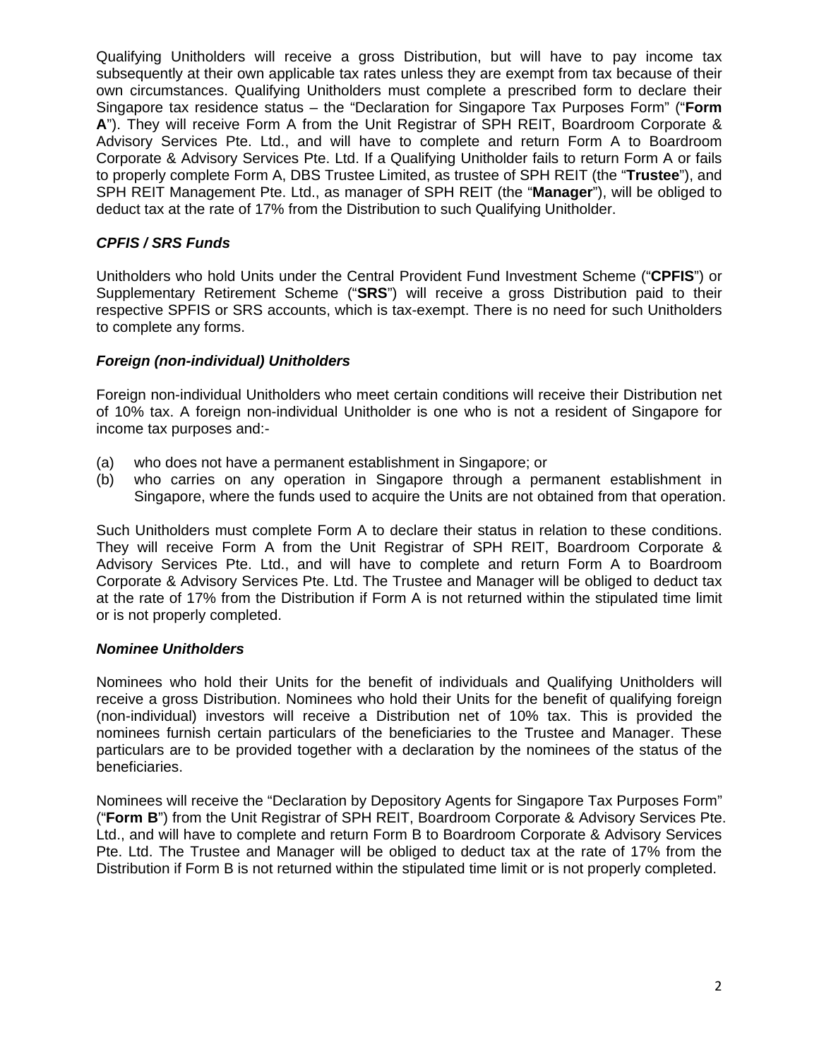Qualifying Unitholders will receive a gross Distribution, but will have to pay income tax subsequently at their own applicable tax rates unless they are exempt from tax because of their own circumstances. Qualifying Unitholders must complete a prescribed form to declare their Singapore tax residence status – the "Declaration for Singapore Tax Purposes Form" ("**Form A**"). They will receive Form A from the Unit Registrar of SPH REIT, Boardroom Corporate & Advisory Services Pte. Ltd., and will have to complete and return Form A to Boardroom Corporate & Advisory Services Pte. Ltd. If a Qualifying Unitholder fails to return Form A or fails to properly complete Form A, DBS Trustee Limited, as trustee of SPH REIT (the "**Trustee**"), and SPH REIT Management Pte. Ltd., as manager of SPH REIT (the "**Manager**"), will be obliged to deduct tax at the rate of 17% from the Distribution to such Qualifying Unitholder.

## *CPFIS / SRS Funds*

Unitholders who hold Units under the Central Provident Fund Investment Scheme ("**CPFIS**") or Supplementary Retirement Scheme ("**SRS**") will receive a gross Distribution paid to their respective SPFIS or SRS accounts, which is tax-exempt. There is no need for such Unitholders to complete any forms.

# *Foreign (non-individual) Unitholders*

Foreign non-individual Unitholders who meet certain conditions will receive their Distribution net of 10% tax. A foreign non-individual Unitholder is one who is not a resident of Singapore for income tax purposes and:-

- (a) who does not have a permanent establishment in Singapore; or
- (b) who carries on any operation in Singapore through a permanent establishment in Singapore, where the funds used to acquire the Units are not obtained from that operation.

Such Unitholders must complete Form A to declare their status in relation to these conditions. They will receive Form A from the Unit Registrar of SPH REIT, Boardroom Corporate & Advisory Services Pte. Ltd., and will have to complete and return Form A to Boardroom Corporate & Advisory Services Pte. Ltd. The Trustee and Manager will be obliged to deduct tax at the rate of 17% from the Distribution if Form A is not returned within the stipulated time limit or is not properly completed.

### *Nominee Unitholders*

Nominees who hold their Units for the benefit of individuals and Qualifying Unitholders will receive a gross Distribution. Nominees who hold their Units for the benefit of qualifying foreign (non-individual) investors will receive a Distribution net of 10% tax. This is provided the nominees furnish certain particulars of the beneficiaries to the Trustee and Manager. These particulars are to be provided together with a declaration by the nominees of the status of the beneficiaries.

Nominees will receive the "Declaration by Depository Agents for Singapore Tax Purposes Form" ("**Form B**") from the Unit Registrar of SPH REIT, Boardroom Corporate & Advisory Services Pte. Ltd., and will have to complete and return Form B to Boardroom Corporate & Advisory Services Pte. Ltd. The Trustee and Manager will be obliged to deduct tax at the rate of 17% from the Distribution if Form B is not returned within the stipulated time limit or is not properly completed.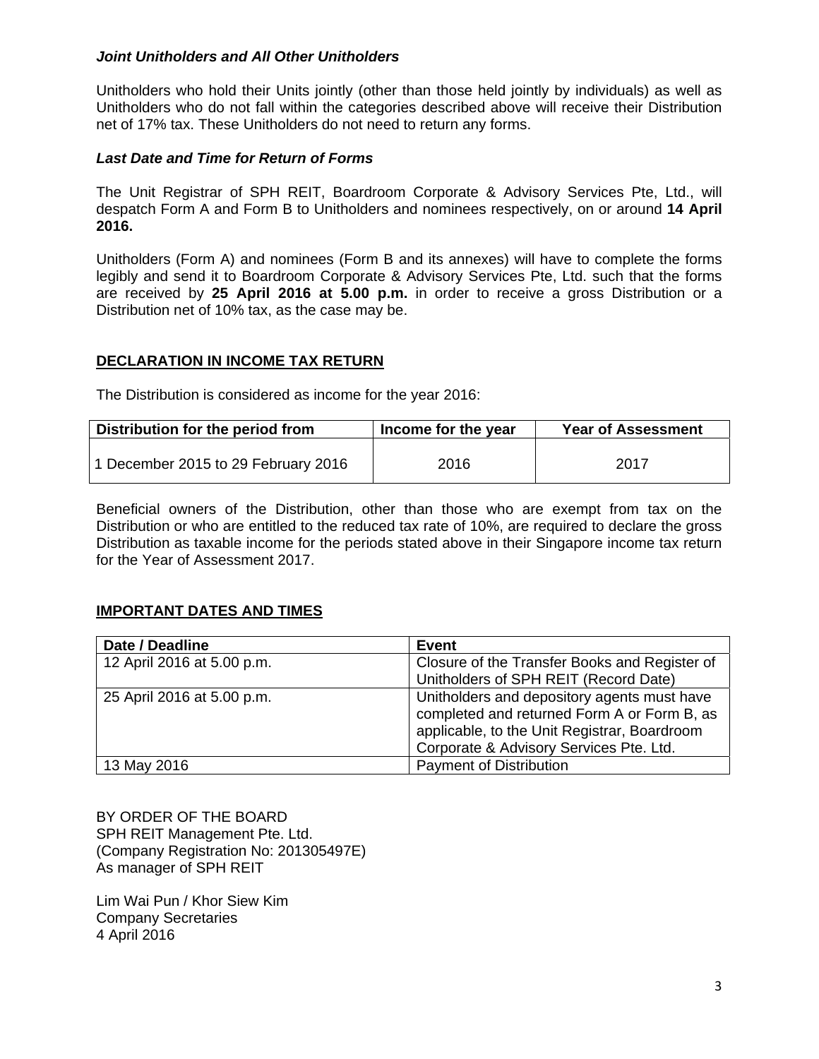#### *Joint Unitholders and All Other Unitholders*

Unitholders who hold their Units jointly (other than those held jointly by individuals) as well as Unitholders who do not fall within the categories described above will receive their Distribution net of 17% tax. These Unitholders do not need to return any forms.

#### *Last Date and Time for Return of Forms*

The Unit Registrar of SPH REIT, Boardroom Corporate & Advisory Services Pte, Ltd., will despatch Form A and Form B to Unitholders and nominees respectively, on or around **14 April 2016.**

Unitholders (Form A) and nominees (Form B and its annexes) will have to complete the forms legibly and send it to Boardroom Corporate & Advisory Services Pte, Ltd. such that the forms are received by **25 April 2016 at 5.00 p.m.** in order to receive a gross Distribution or a Distribution net of 10% tax, as the case may be.

#### **DECLARATION IN INCOME TAX RETURN**

The Distribution is considered as income for the year 2016:

| Distribution for the period from    | Income for the year | <b>Year of Assessment</b> |
|-------------------------------------|---------------------|---------------------------|
| 1 December 2015 to 29 February 2016 | 2016                | 2017                      |

Beneficial owners of the Distribution, other than those who are exempt from tax on the Distribution or who are entitled to the reduced tax rate of 10%, are required to declare the gross Distribution as taxable income for the periods stated above in their Singapore income tax return for the Year of Assessment 2017.

### **IMPORTANT DATES AND TIMES**

| Date / Deadline            | <b>Event</b>                                                                                                                               |
|----------------------------|--------------------------------------------------------------------------------------------------------------------------------------------|
| 12 April 2016 at 5.00 p.m. | Closure of the Transfer Books and Register of                                                                                              |
|                            | Unitholders of SPH REIT (Record Date)                                                                                                      |
| 25 April 2016 at 5.00 p.m. | Unitholders and depository agents must have<br>completed and returned Form A or Form B, as<br>applicable, to the Unit Registrar, Boardroom |
|                            | Corporate & Advisory Services Pte. Ltd.                                                                                                    |
| 13 May 2016                | <b>Payment of Distribution</b>                                                                                                             |

BY ORDER OF THE BOARD SPH REIT Management Pte. Ltd. (Company Registration No: 201305497E) As manager of SPH REIT

Lim Wai Pun / Khor Siew Kim Company Secretaries 4 April 2016